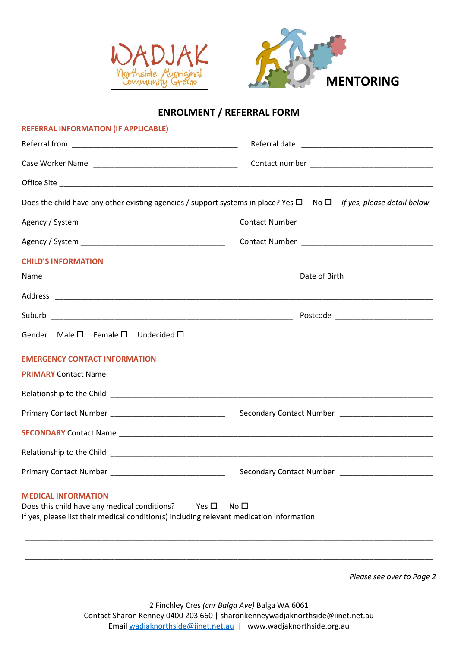



## **ENROLMENT / REFERRAL FORM**

| <b>REFERRAL INFORMATION (IF APPLICABLE)</b>                                                                                                                                                             |                          |  |  |
|---------------------------------------------------------------------------------------------------------------------------------------------------------------------------------------------------------|--------------------------|--|--|
|                                                                                                                                                                                                         |                          |  |  |
|                                                                                                                                                                                                         |                          |  |  |
|                                                                                                                                                                                                         |                          |  |  |
| Does the child have any other existing agencies / support systems in place? Yes $\Box$ No $\Box$ If yes, please detail below                                                                            |                          |  |  |
|                                                                                                                                                                                                         |                          |  |  |
|                                                                                                                                                                                                         |                          |  |  |
| <b>CHILD'S INFORMATION</b>                                                                                                                                                                              |                          |  |  |
|                                                                                                                                                                                                         |                          |  |  |
|                                                                                                                                                                                                         |                          |  |  |
|                                                                                                                                                                                                         |                          |  |  |
| Gender Male $\square$ Female $\square$ Undecided $\square$                                                                                                                                              |                          |  |  |
| <b>EMERGENCY CONTACT INFORMATION</b>                                                                                                                                                                    |                          |  |  |
|                                                                                                                                                                                                         |                          |  |  |
|                                                                                                                                                                                                         |                          |  |  |
|                                                                                                                                                                                                         |                          |  |  |
|                                                                                                                                                                                                         |                          |  |  |
|                                                                                                                                                                                                         |                          |  |  |
|                                                                                                                                                                                                         | Secondary Contact Number |  |  |
| <b>MEDICAL INFORMATION</b><br>Does this child have any medical conditions?<br>No <sub>1</sub><br>Yes $\Box$<br>If yes, please list their medical condition(s) including relevant medication information |                          |  |  |

*Please see over to Page 2*

\_\_\_\_\_\_\_\_\_\_\_\_\_\_\_\_\_\_\_\_\_\_\_\_\_\_\_\_\_\_\_\_\_\_\_\_\_\_\_\_\_\_\_\_\_\_\_\_\_\_\_\_\_\_\_\_\_\_\_\_\_\_\_\_\_\_\_\_\_\_\_\_\_\_\_\_\_\_\_\_\_\_\_\_\_\_\_\_\_\_\_\_\_\_\_\_